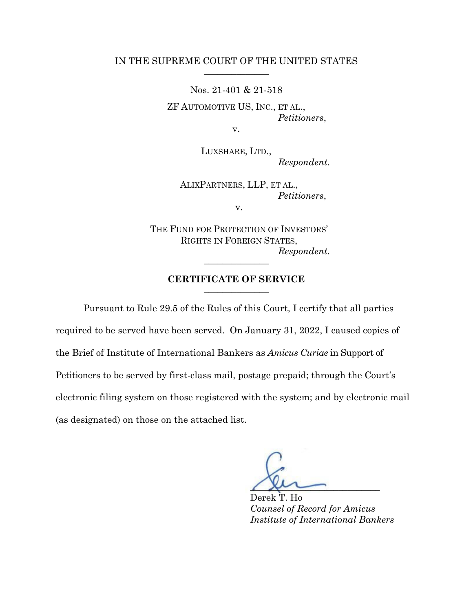## IN THE SUPREME COURT OF THE UNITED STATES

Nos. 21-401 & 21-518

ZF AUTOMOTIVE US, INC., ET AL., *Petitioners*,

v.

LUXSHARE, LTD., *Respondent*.

ALIXPARTNERS, LLP, ET AL., *Petitioners*,

v.

THE FUND FOR PROTECTION OF INVESTORS' RIGHTS IN FOREIGN STATES,  $Respondent.$ 

## **CERTIFICATE OF SERVICE** \_\_\_\_\_\_\_\_\_\_\_\_\_\_

Pursuant to Rule 29.5 of the Rules of this Court, I certify that all parties required to be served have been served. On January 31, 2022, I caused copies of the Brief of Institute of International Bankers as *Amicus Curiae* in Support of Petitioners to be served by first-class mail, postage prepaid; through the Court's electronic filing system on those registered with the system; and by electronic mail (as designated) on those on the attached list.

 $\sqrt{\mu}$ 

Derek T. Ho *Counsel of Record for Amicus Institute of International Bankers*